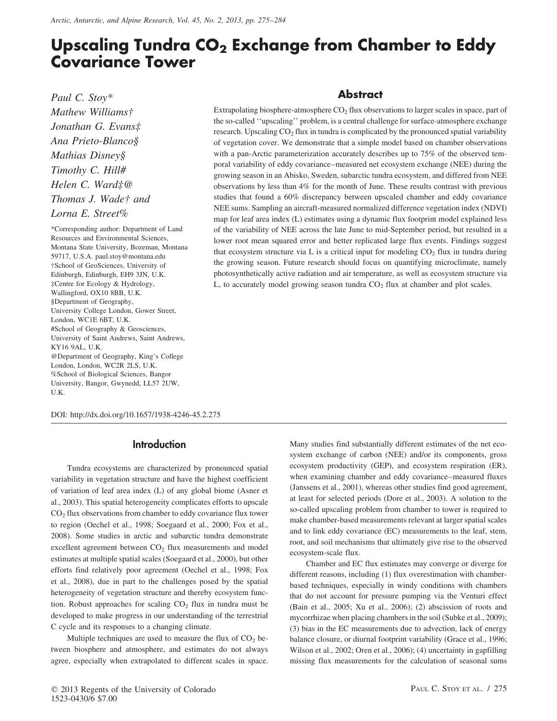# **Upscaling Tundra CO2 Exchange from Chamber to Eddy Covariance Tower**

*Paul C. Stoy\** **Abstract**

Wallingford, OX10 8BB, U.K. §Department of Geography, University College London, Gower Street, London, WC1E 6BT, U.K. #School of Geography & Geosciences, University of Saint Andrews, Saint Andrews, KY16 9AL, U.K. @Department of Geography, King's College London, London, WC2R 2LS, U.K. %School of Biological Sciences, Bangor University, Bangor, Gwynedd, LL57 2UW, U.K.

*Mathew Williams†* Extrapolating biosphere-atmosphere CO<sub>2</sub> flux observations to larger scales in space, part of *Jonathan G. Evans*<sup>‡</sup> the so-called "upscaling" problem, is a central challenge for surface-atmosphere exchange research. Upscaling CO<sub>2</sub> flux in tundra is complicated by the pronounced spatial variability of vertation co of vegetation cover. We demonstrate that a simple model based on chamber observations *Mathias Disney§* with a pan-Arctic parameterization accurately describes up to 75% of the observed tem-<br>
Fig. (*I*, *C*, *II, UH*, *C*, *II, UH*, *C*, *II, UH*, *C*, *II, UH*, *C*, *II, UH*, *C*, *II, UH*, *C*, *II, UH*, *Timothy C. Hill#* poral variability of eddy covariance–measured net ecosystem exchange (NEE) during the growing season in an Abisko, Sweden, subarctic tundra ecosystem, and differed from NEE observations by less than 4% f *Helen C. Ward‡@* observations by less than 4% for the month of June. These results contrast with previous *Thomas J. Wade† and* studies that found a 60% discrepancy between upscaled chamber and eddy covariance<br>NEE sums. Sampling an aircraft-measured normalized difference vegetation index (NDVI) NEE sums. Sampling an aircraft-measured normalized difference vegetation index (NDVI) *Lorna E. Street%* map for leaf area index (L) estimates using a dynamic flux footprint model explained less \*Corresponding author: Department of Land of the variability of NEE across the late June to mid-September period, but resulted in a Resources and Environmental Sciences,<br>
Montana State University, Bozeman, Montana<br>
59717, U.S.A. paul.stoy@montana.edu<br>
†School of GeoSciences, University of the growing season. Future research should focus on quantifying Edinburgh, Edinburgh, EH9 3JN, U.K. photosynthetically active radiation and air temperature, as well as ecosystem structure via ‡Centre for Ecology & Hydrology, L, to accurately model growing season tundra CO<sub>2</sub> flux at chamber and plot scales.

DOI: http://dx.doi.org/10.1657/1938-4246-45.2.275

### **Introduction**

Tundra ecosystems are characterized by pronounced spatial variability in vegetation structure and have the highest coefficient of variation of leaf area index (L) of any global biome (Asner et al., 2003). This spatial heterogeneity complicates efforts to upscale CO<sub>2</sub> flux observations from chamber to eddy covariance flux tower to region (Oechel et al., 1998; Soegaard et al., 2000; Fox et al., 2008). Some studies in arctic and subarctic tundra demonstrate excellent agreement between  $CO<sub>2</sub>$  flux measurements and model estimates at multiple spatial scales (Soegaard et al., 2000), but other efforts find relatively poor agreement (Oechel et al., 1998; Fox et al., 2008), due in part to the challenges posed by the spatial heterogeneity of vegetation structure and thereby ecosystem function. Robust approaches for scaling  $CO<sub>2</sub>$  flux in tundra must be developed to make progress in our understanding of the terrestrial C cycle and its responses to a changing climate.

Multiple techniques are used to measure the flux of  $CO<sub>2</sub>$  between biosphere and atmosphere, and estimates do not always agree, especially when extrapolated to different scales in space.

Many studies find substantially different estimates of the net ecosystem exchange of carbon (NEE) and/or its components, gross ecosystem productivity (GEP), and ecosystem respiration (ER), when examining chamber and eddy covariance–measured fluxes (Janssens et al., 2001), whereas other studies find good agreement, at least for selected periods (Dore et al., 2003). A solution to the so-called upscaling problem from chamber to tower is required to make chamber-based measurements relevant at larger spatial scales and to link eddy covariance (EC) measurements to the leaf, stem, root, and soil mechanisms that ultimately give rise to the observed ecosystem-scale flux.

Chamber and EC flux estimates may converge or diverge for different reasons, including (1) flux overestimation with chamberbased techniques, especially in windy conditions with chambers that do not account for pressure pumping via the Venturi effect (Bain et al., 2005; Xu et al., 2006); (2) abscission of roots and mycorrhizae when placing chambers in the soil (Subke et al., 2009); (3) bias in the EC measurements due to advection, lack of energy balance closure, or diurnal footprint variability (Grace et al., 1996; Wilson et al., 2002; Oren et al., 2006); (4) uncertainty in gapfilling missing flux measurements for the calculation of seasonal sums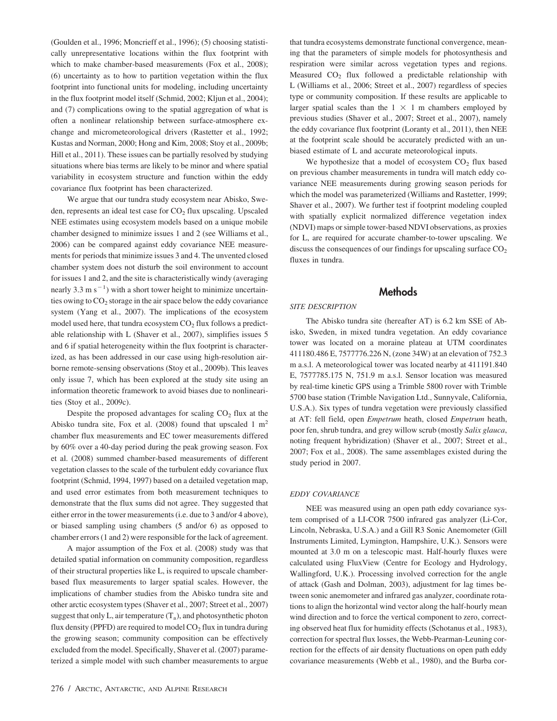(Goulden et al., 1996; Moncrieff et al., 1996); (5) choosing statistically unrepresentative locations within the flux footprint with which to make chamber-based measurements (Fox et al., 2008); (6) uncertainty as to how to partition vegetation within the flux footprint into functional units for modeling, including uncertainty in the flux footprint model itself (Schmid, 2002; Kljun et al., 2004); and (7) complications owing to the spatial aggregation of what is often a nonlinear relationship between surface-atmosphere exchange and micrometeorological drivers (Rastetter et al., 1992; Kustas and Norman, 2000; Hong and Kim, 2008; Stoy et al., 2009b; Hill et al., 2011). These issues can be partially resolved by studying situations where bias terms are likely to be minor and where spatial variability in ecosystem structure and function within the eddy covariance flux footprint has been characterized.

We argue that our tundra study ecosystem near Abisko, Sweden, represents an ideal test case for  $CO<sub>2</sub>$  flux upscaling. Upscaled NEE estimates using ecosystem models based on a unique mobile chamber designed to minimize issues 1 and 2 (see Williams et al., 2006) can be compared against eddy covariance NEE measurements for periods that minimize issues 3 and 4. The unvented closed chamber system does not disturb the soil environment to account for issues 1 and 2, and the site is characteristically windy (averaging nearly 3.3 m  $s^{-1}$ ) with a short tower height to minimize uncertainties owing to CO<sub>2</sub> storage in the air space below the eddy covariance system (Yang et al., 2007). The implications of the ecosystem model used here, that tundra ecosystem  $CO<sub>2</sub>$  flux follows a predictable relationship with L (Shaver et al., 2007), simplifies issues 5 and 6 if spatial heterogeneity within the flux footprint is characterized, as has been addressed in our case using high-resolution airborne remote-sensing observations (Stoy et al., 2009b). This leaves only issue 7, which has been explored at the study site using an information theoretic framework to avoid biases due to nonlinearities (Stoy et al., 2009c).

Despite the proposed advantages for scaling  $CO<sub>2</sub>$  flux at the Abisko tundra site, Fox et al. (2008) found that upscaled  $1 \text{ m}^2$ chamber flux measurements and EC tower measurements differed by 60% over a 40-day period during the peak growing season. Fox et al. (2008) summed chamber-based measurements of different vegetation classes to the scale of the turbulent eddy covariance flux footprint (Schmid, 1994, 1997) based on a detailed vegetation map, and used error estimates from both measurement techniques to demonstrate that the flux sums did not agree. They suggested that either error in the tower measurements (i.e. due to 3 and/or 4 above), or biased sampling using chambers (5 and/or 6) as opposed to chamber errors (1 and 2) were responsible for the lack of agreement.

A major assumption of the Fox et al. (2008) study was that detailed spatial information on community composition, regardless of their structural properties like L, is required to upscale chamberbased flux measurements to larger spatial scales. However, the implications of chamber studies from the Abisko tundra site and other arctic ecosystem types (Shaver et al., 2007; Street et al., 2007) suggest that only L, air temperature  $(T_a)$ , and photosynthetic photon flux density (PPFD) are required to model  $CO<sub>2</sub>$  flux in tundra during the growing season; community composition can be effectively excluded from the model. Specifically, Shaver et al. (2007) parameterized a simple model with such chamber measurements to argue

that tundra ecosystems demonstrate functional convergence, meaning that the parameters of simple models for photosynthesis and respiration were similar across vegetation types and regions. Measured  $CO<sub>2</sub>$  flux followed a predictable relationship with L (Williams et al., 2006; Street et al., 2007) regardless of species type or community composition. If these results are applicable to larger spatial scales than the  $1 \times 1$  m chambers employed by previous studies (Shaver et al., 2007; Street et al., 2007), namely the eddy covariance flux footprint (Loranty et al., 2011), then NEE at the footprint scale should be accurately predicted with an unbiased estimate of L and accurate meteorological inputs.

We hypothesize that a model of ecosystem  $CO<sub>2</sub>$  flux based on previous chamber measurements in tundra will match eddy covariance NEE measurements during growing season periods for which the model was parameterized (Williams and Rastetter, 1999; Shaver et al., 2007). We further test if footprint modeling coupled with spatially explicit normalized difference vegetation index (NDVI) maps or simple tower-based NDVI observations, as proxies for L, are required for accurate chamber-to-tower upscaling. We discuss the consequences of our findings for upscaling surface  $CO<sub>2</sub>$ fluxes in tundra.

# **Methods**

#### *SITE DESCRIPTION*

The Abisko tundra site (hereafter AT) is 6.2 km SSE of Abisko, Sweden, in mixed tundra vegetation. An eddy covariance tower was located on a moraine plateau at UTM coordinates 411180.486 E, 7577776.226 N, (zone 34W) at an elevation of 752.3 m a.s.l. A meteorological tower was located nearby at 411191.840 E, 7577785.175 N, 751.9 m a.s.l. Sensor location was measured by real-time kinetic GPS using a Trimble 5800 rover with Trimble 5700 base station (Trimble Navigation Ltd., Sunnyvale, California, U.S.A.). Six types of tundra vegetation were previously classified at AT: fell field, open *Empetrum* heath, closed *Empetrum* heath, poor fen, shrub tundra, and grey willow scrub (mostly *Salix glauca*, noting frequent hybridization) (Shaver et al., 2007; Street et al., 2007; Fox et al., 2008). The same assemblages existed during the study period in 2007.

#### *EDDY COVARIANCE*

NEE was measured using an open path eddy covariance system comprised of a LI-COR 7500 infrared gas analyzer (Li-Cor, Lincoln, Nebraska, U.S.A.) and a Gill R3 Sonic Anemometer (Gill Instruments Limited, Lymington, Hampshire, U.K.). Sensors were mounted at 3.0 m on a telescopic mast. Half-hourly fluxes were calculated using FluxView (Centre for Ecology and Hydrology, Wallingford, U.K.). Processing involved correction for the angle of attack (Gash and Dolman, 2003), adjustment for lag times between sonic anemometer and infrared gas analyzer, coordinate rotations to align the horizontal wind vector along the half-hourly mean wind direction and to force the vertical component to zero, correcting observed heat flux for humidity effects (Schotanus et al., 1983), correction for spectral flux losses, the Webb-Pearman-Leuning correction for the effects of air density fluctuations on open path eddy covariance measurements (Webb et al., 1980), and the Burba cor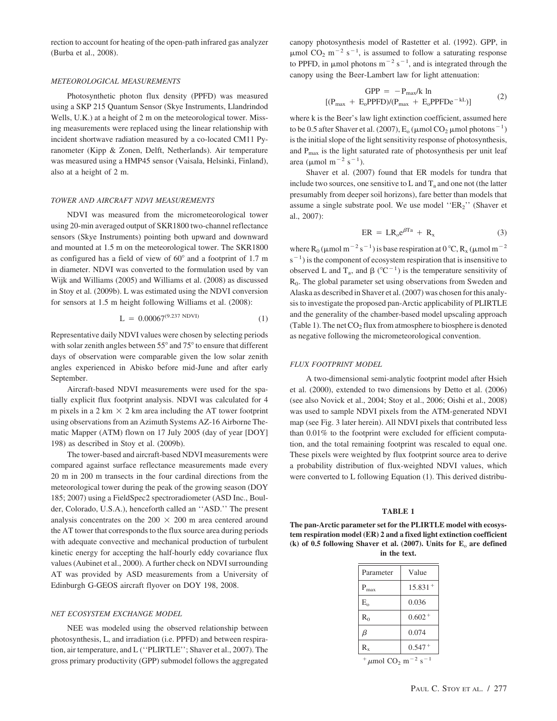rection to account for heating of the open-path infrared gas analyzer (Burba et al., 2008).

#### *METEOROLOGICAL MEASUREMENTS*

Photosynthetic photon flux density (PPFD) was measured using a SKP 215 Quantum Sensor (Skye Instruments, Llandrindod Wells, U.K.) at a height of 2 m on the meteorological tower. Missing measurements were replaced using the linear relationship with incident shortwave radiation measured by a co-located CM11 Pyranometer (Kipp & Zonen, Delft, Netherlands). Air temperature was measured using a HMP45 sensor (Vaisala, Helsinki, Finland), also at a height of 2 m.

#### *TOWER AND AIRCRAFT NDVI MEASUREMENTS*

NDVI was measured from the micrometeorological tower using 20-min averaged output of SKR1800 two-channel reflectance sensors (Skye Instruments) pointing both upward and downward and mounted at 1.5 m on the meteorological tower. The SKR1800 as configured has a field of view of  $60^{\circ}$  and a footprint of 1.7 m in diameter. NDVI was converted to the formulation used by van Wijk and Williams (2005) and Williams et al. (2008) as discussed in Stoy et al. (2009b). L was estimated using the NDVI conversion for sensors at 1.5 m height following Williams et al. (2008):

$$
L = 0.00067^{(9.237 \text{ NDVI})} \tag{1}
$$

Representative daily NDVI values were chosen by selecting periods with solar zenith angles between  $55^{\circ}$  and  $75^{\circ}$  to ensure that different days of observation were comparable given the low solar zenith angles experienced in Abisko before mid-June and after early September.

Aircraft-based NDVI measurements were used for the spatially explicit flux footprint analysis. NDVI was calculated for 4 m pixels in a 2 km  $\times$  2 km area including the AT tower footprint using observations from an Azimuth Systems AZ-16 Airborne Thematic Mapper (ATM) flown on 17 July 2005 (day of year [DOY] 198) as described in Stoy et al. (2009b).

The tower-based and aircraft-based NDVI measurements were compared against surface reflectance measurements made every 20 m in 200 m transects in the four cardinal directions from the meteorological tower during the peak of the growing season (DOY 185; 2007) using a FieldSpec2 spectroradiometer (ASD Inc., Boulder, Colorado, U.S.A.), henceforth called an ''ASD.'' The present analysis concentrates on the 200  $\times$  200 m area centered around the AT tower that corresponds to the flux source area during periods with adequate convective and mechanical production of turbulent kinetic energy for accepting the half-hourly eddy covariance flux values (Aubinet et al., 2000). A further check on NDVI surrounding AT was provided by ASD measurements from a University of Edinburgh G-GEOS aircraft flyover on DOY 198, 2008.

#### *NET ECOSYSTEM EXCHANGE MODEL*

NEE was modeled using the observed relationship between photosynthesis, L, and irradiation (i.e. PPFD) and between respiration, air temperature, and L (''PLIRTLE''; Shaver et al., 2007). The gross primary productivity (GPP) submodel follows the aggregated

canopy photosynthesis model of Rastetter et al. (1992). GPP, in  $\mu$ mol CO<sub>2</sub> m<sup>-2</sup> s<sup>-1</sup>, is assumed to follow a saturating response to PPFD, in  $\mu$ mol photons m<sup>-2</sup> s<sup>-1</sup>, and is integrated through the canopy using the Beer-Lambert law for light attenuation:

$$
GPP = -P_{max}/k \ln
$$

$$
[(P_{max} + E_o P P F D)/(P_{max} + E_o P P F D e^{-kL})]
$$
(2)

where k is the Beer's law light extinction coefficient, assumed here to be 0.5 after Shaver et al. (2007),  $E_o$  ( $\mu$ mol CO<sub>2</sub>  $\mu$ mol photons $^{-1}$ ) is the initial slope of the light sensitivity response of photosynthesis, and  $P_{\text{max}}$  is the light saturated rate of photosynthesis per unit leaf area ( $\mu$ mol m<sup>-2</sup> s<sup>-1</sup>).

Shaver et al. (2007) found that ER models for tundra that include two sources, one sensitive to  $L$  and  $T_a$  and one not (the latter presumably from deeper soil horizons), fare better than models that assume a single substrate pool. We use model "ER2" (Shaver et al., 2007):

$$
ER = LR_o e^{\beta T a} + R_x \tag{3}
$$

where R<sub>0</sub> ( $\mu$ mol m<sup>-2</sup> s<sup>-1</sup>) is base respiration at 0 °C, R<sub>x</sub> ( $\mu$ mol m<sup>-2</sup>  $s^{-1}$ ) is the component of ecosystem respiration that is insensitive to observed L and  $T_a$ , and  $\beta$  (°C<sup>-1</sup>) is the temperature sensitivity of R0. The global parameter set using observations from Sweden and Alaska as described in Shaver et al. (2007) was chosen for this analysis to investigate the proposed pan-Arctic applicability of PLIRTLE and the generality of the chamber-based model upscaling approach (Table 1). The net  $CO<sub>2</sub>$  flux from atmosphere to biosphere is denoted as negative following the micrometeorological convention.

#### *FLUX FOOTPRINT MODEL*

A two-dimensional semi-analytic footprint model after Hsieh et al. (2000), extended to two dimensions by Detto et al. (2006) (see also Novick et al., 2004; Stoy et al., 2006; Oishi et al., 2008) was used to sample NDVI pixels from the ATM-generated NDVI map (see Fig. 3 later herein). All NDVI pixels that contributed less than 0.01% to the footprint were excluded for efficient computation, and the total remaining footprint was rescaled to equal one. These pixels were weighted by flux footprint source area to derive a probability distribution of flux-weighted NDVI values, which were converted to L following Equation (1). This derived distribu-

#### **TABLE 1**

**The pan-Arctic parameter set for the PLIRTLE model with ecosystem respiration model (ER) 2 and a fixed light extinction coefficient (k) of 0.5 following Shaver et al. (2007). Units for E**<sup>o</sup> **are defined in the text.**

| Parameter    | Value      |
|--------------|------------|
| $P_{max}$    | $15.831 +$ |
| $E_{\alpha}$ | 0.036      |
| $R_0$        | $0.602+$   |
| β            | 0.074      |
| $R_{\rm x}$  | $0.547+$   |

+  $\mu$ mol CO<sub>2</sub> m<sup>-2</sup> s<sup>-1</sup>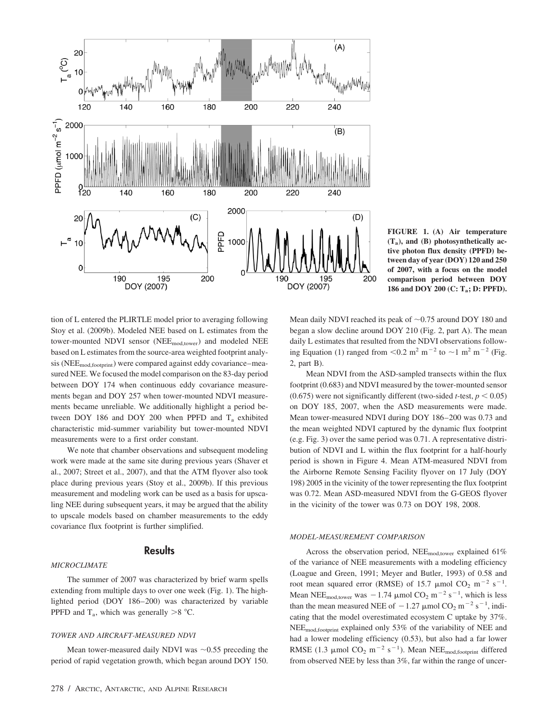

**FIGURE 1. (A) Air temperature (Ta), and (B) photosynthetically active photon flux density (PPFD) between day of year (DOY) 120 and 250 of 2007, with a focus on the model comparison period between DOY 186 and DOY 200 (C: Ta; D: PPFD).**

tion of L entered the PLIRTLE model prior to averaging following Stoy et al. (2009b). Modeled NEE based on L estimates from the tower-mounted NDVI sensor (NEE<sub>mod,tower</sub>) and modeled NEE based on L estimates from the source-area weighted footprint analysis (NEE<sub>mod,footprint</sub>) were compared against eddy covariance-measured NEE. We focused the model comparison on the 83-day period between DOY 174 when continuous eddy covariance measurements began and DOY 257 when tower-mounted NDVI measurements became unreliable. We additionally highlight a period between DOY 186 and DOY 200 when PPFD and  $T_a$  exhibited characteristic mid-summer variability but tower-mounted NDVI measurements were to a first order constant.

We note that chamber observations and subsequent modeling work were made at the same site during previous years (Shaver et al., 2007; Street et al., 2007), and that the ATM flyover also took place during previous years (Stoy et al., 2009b). If this previous measurement and modeling work can be used as a basis for upscaling NEE during subsequent years, it may be argued that the ability to upscale models based on chamber measurements to the eddy covariance flux footprint is further simplified.

#### **Results**

#### *MICROCLIMATE*

The summer of 2007 was characterized by brief warm spells extending from multiple days to over one week (Fig. 1). The highlighted period (DOY 186–200) was characterized by variable PPFD and  $T_a$ , which was generally  $>8$  °C.

#### *TOWER AND AIRCRAFT-MEASURED NDVI*

Mean tower-measured daily NDVI was  $~10.55$  preceding the period of rapid vegetation growth, which began around DOY 150.

Mean daily NDVI reached its peak of  $\sim 0.75$  around DOY 180 and began a slow decline around DOY 210 (Fig. 2, part A). The mean daily L estimates that resulted from the NDVI observations following Equation (1) ranged from  $\leq 0.2$  m<sup>2</sup> m<sup>-2</sup> to  $\sim$ 1 m<sup>2</sup> m<sup>-2</sup> (Fig. 2, part B).

Mean NDVI from the ASD-sampled transects within the flux footprint (0.683) and NDVI measured by the tower-mounted sensor (0.675) were not significantly different (two-sided *t*-test,  $p < 0.05$ ) on DOY 185, 2007, when the ASD measurements were made. Mean tower-measured NDVI during DOY 186–200 was 0.73 and the mean weighted NDVI captured by the dynamic flux footprint (e.g. Fig. 3) over the same period was 0.71. A representative distribution of NDVI and L within the flux footprint for a half-hourly period is shown in Figure 4. Mean ATM-measured NDVI from the Airborne Remote Sensing Facility flyover on 17 July (DOY 198) 2005 in the vicinity of the tower representing the flux footprint was 0.72. Mean ASD-measured NDVI from the G-GEOS flyover in the vicinity of the tower was 0.73 on DOY 198, 2008.

#### *MODEL-MEASUREMENT COMPARISON*

Across the observation period, NEE<sub>mod,tower</sub> explained 61% of the variance of NEE measurements with a modeling efficiency (Loague and Green, 1991; Meyer and Butler, 1993) of 0.58 and root mean squared error (RMSE) of 15.7  $\mu$ mol CO<sub>2</sub> m<sup>-2</sup> s<sup>-1</sup>. Mean NEE<sub>mod,tower</sub> was  $-1.74 \mu$ mol CO<sub>2</sub> m<sup>-2</sup> s<sup>-1</sup>, which is less than the mean measured NEE of  $-1.27 \mu$ mol CO<sub>2</sub> m<sup>-2</sup> s<sup>-1</sup>, indicating that the model overestimated ecosystem C uptake by 37%. NEEmod,footprint explained only 53% of the variability of NEE and had a lower modeling efficiency (0.53), but also had a far lower RMSE (1.3  $\mu$ mol CO<sub>2</sub> m<sup>-2</sup> s<sup>-1</sup>). Mean NEE<sub>mod,footprint</sub> differed from observed NEE by less than 3%, far within the range of uncer-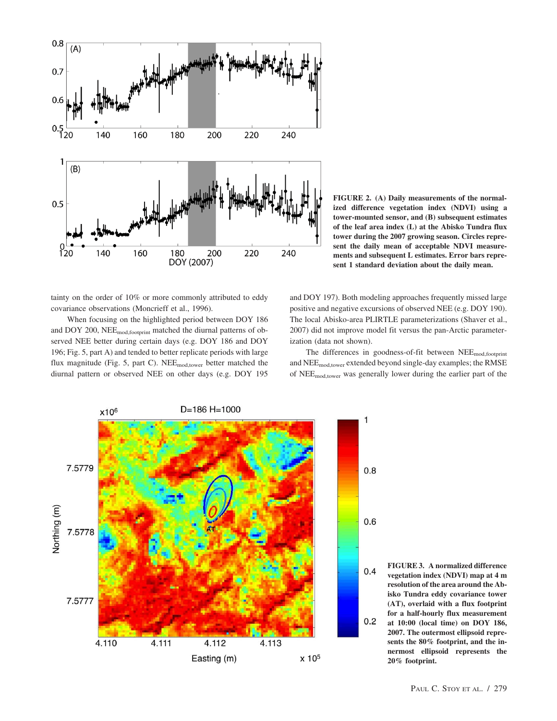

**FIGURE 2. (A) Daily measurements of the normalized difference vegetation index (NDVI) using a tower-mounted sensor, and (B) subsequent estimates of the leaf area index (L) at the Abisko Tundra flux tower during the 2007 growing season. Circles represent the daily mean of acceptable NDVI measurements and subsequent L estimates. Error bars represent 1 standard deviation about the daily mean.**

tainty on the order of 10% or more commonly attributed to eddy covariance observations (Moncrieff et al., 1996).

When focusing on the highlighted period between DOY 186 and DOY 200, NEEmod,footprint matched the diurnal patterns of observed NEE better during certain days (e.g. DOY 186 and DOY 196; Fig. 5, part A) and tended to better replicate periods with large flux magnitude (Fig. 5, part C). NEE<sub>mod,tower</sub> better matched the diurnal pattern or observed NEE on other days (e.g. DOY 195

and DOY 197). Both modeling approaches frequently missed large positive and negative excursions of observed NEE (e.g. DOY 190). The local Abisko-area PLIRTLE parameterizations (Shaver et al., 2007) did not improve model fit versus the pan-Arctic parameterization (data not shown).

The differences in goodness-of-fit between NEE<sub>mod,footprint</sub> and NEEmod,tower extended beyond single-day examples; the RMSE of NEEmod,tower was generally lower during the earlier part of the

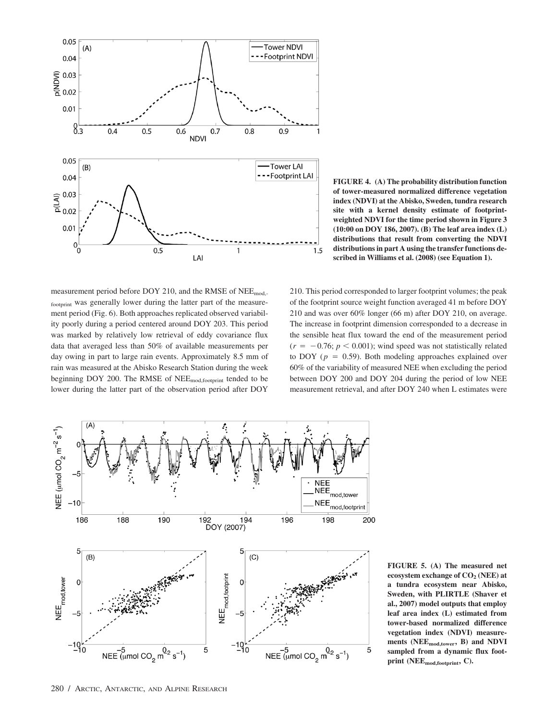

**FIGURE 4. (A) The probability distribution function of tower-measured normalized difference vegetation index (NDVI) at the Abisko, Sweden, tundra research site with a kernel density estimate of footprintweighted NDVI for the time period shown in Figure 3 (10:00 on DOY 186, 2007). (B) The leaf area index (L) distributions that result from converting the NDVI distributions in part A using the transfer functions described in Williams et al. (2008) (see Equation 1).**

measurement period before DOY 210, and the RMSE of NEE<sub>mod,-</sub> footprint was generally lower during the latter part of the measurement period (Fig. 6). Both approaches replicated observed variability poorly during a period centered around DOY 203. This period was marked by relatively low retrieval of eddy covariance flux data that averaged less than 50% of available measurements per day owing in part to large rain events. Approximately 8.5 mm of rain was measured at the Abisko Research Station during the week beginning DOY 200. The RMSE of NEE<sub>mod,footprint</sub> tended to be lower during the latter part of the observation period after DOY

210. This period corresponded to larger footprint volumes; the peak of the footprint source weight function averaged 41 m before DOY 210 and was over 60% longer (66 m) after DOY 210, on average. The increase in footprint dimension corresponded to a decrease in the sensible heat flux toward the end of the measurement period  $(r = -0.76; p < 0.001)$ ; wind speed was not statistically related to DOY ( $p = 0.59$ ). Both modeling approaches explained over 60% of the variability of measured NEE when excluding the period between DOY 200 and DOY 204 during the period of low NEE measurement retrieval, and after DOY 240 when L estimates were



**FIGURE 5. (A) The measured net ecosystem exchange of CO2 (NEE) at a tundra ecosystem near Abisko, Sweden, with PLIRTLE (Shaver et al., 2007) model outputs that employ leaf area index (L) estimated from tower-based normalized difference vegetation index (NDVI) measurements (NEEmod,tower, B) and NDVI sampled from a dynamic flux footprint (NEEmod,footprint, C).**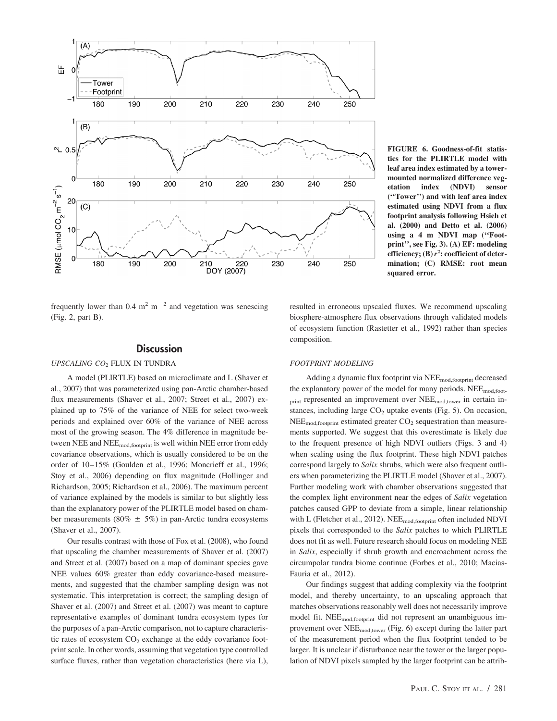

frequently lower than  $0.4 \text{ m}^2 \text{ m}^{-2}$  and vegetation was senescing (Fig. 2, part B).

### **Discussion**

### *UPSCALING CO*<sup>2</sup> FLUX IN TUNDRA

A model (PLIRTLE) based on microclimate and L (Shaver et al., 2007) that was parameterized using pan-Arctic chamber-based flux measurements (Shaver et al., 2007; Street et al., 2007) explained up to 75% of the variance of NEE for select two-week periods and explained over 60% of the variance of NEE across most of the growing season. The 4% difference in magnitude between NEE and NEE<sub>mod,footprint</sub> is well within NEE error from eddy covariance observations, which is usually considered to be on the order of 10–15% (Goulden et al., 1996; Moncrieff et al., 1996; Stoy et al., 2006) depending on flux magnitude (Hollinger and Richardson, 2005; Richardson et al., 2006). The maximum percent of variance explained by the models is similar to but slightly less than the explanatory power of the PLIRTLE model based on chamber measurements (80%  $\pm$  5%) in pan-Arctic tundra ecosystems (Shaver et al., 2007).

Our results contrast with those of Fox et al. (2008), who found that upscaling the chamber measurements of Shaver et al. (2007) and Street et al. (2007) based on a map of dominant species gave NEE values 60% greater than eddy covariance-based measurements, and suggested that the chamber sampling design was not systematic. This interpretation is correct; the sampling design of Shaver et al. (2007) and Street et al. (2007) was meant to capture representative examples of dominant tundra ecosystem types for the purposes of a pan-Arctic comparison, not to capture characteristic rates of ecosystem  $CO<sub>2</sub>$  exchange at the eddy covariance footprint scale. In other words, assuming that vegetation type controlled surface fluxes, rather than vegetation characteristics (here via L),

**FIGURE 6. Goodness-of-fit statistics for the PLIRTLE model with leaf area index estimated by a towermounted normalized difference vegetation index (NDVI) sensor (''Tower'') and with leaf area index estimated using NDVI from a flux footprint analysis following Hsieh et al. (2000) and Detto et al. (2006) using a 4 m NDVI map (''Footprint'', see Fig. 3). (A) EF: modeling efficiency; (B)***r***<sup>2</sup> : coefficient of determination; (C) RMSE: root mean squared error.**

resulted in erroneous upscaled fluxes. We recommend upscaling biosphere-atmosphere flux observations through validated models of ecosystem function (Rastetter et al., 1992) rather than species composition.

#### *FOOTPRINT MODELING*

Adding a dynamic flux footprint via NEE<sub>mod,footprint</sub> decreased the explanatory power of the model for many periods. NEE<sub>mod,foot-</sub> print represented an improvement over NEE<sub>mod,tower</sub> in certain instances, including large  $CO<sub>2</sub>$  uptake events (Fig. 5). On occasion,  $NEE_{mod,footprint}$  estimated greater  $CO<sub>2</sub>$  sequestration than measurements supported. We suggest that this overestimate is likely due to the frequent presence of high NDVI outliers (Figs. 3 and 4) when scaling using the flux footprint. These high NDVI patches correspond largely to *Salix* shrubs, which were also frequent outliers when parameterizing the PLIRTLE model (Shaver et al., 2007). Further modeling work with chamber observations suggested that the complex light environment near the edges of *Salix* vegetation patches caused GPP to deviate from a simple, linear relationship with L (Fletcher et al., 2012). NEE<sub>mod,footprint</sub> often included NDVI pixels that corresponded to the *Salix* patches to which PLIRTLE does not fit as well. Future research should focus on modeling NEE in *Salix*, especially if shrub growth and encroachment across the circumpolar tundra biome continue (Forbes et al., 2010; Macias-Fauria et al., 2012).

Our findings suggest that adding complexity via the footprint model, and thereby uncertainty, to an upscaling approach that matches observations reasonably well does not necessarily improve model fit. NEE<sub>mod,footprint</sub> did not represent an unambiguous improvement over NEEmod,tower (Fig. 6) except during the latter part of the measurement period when the flux footprint tended to be larger. It is unclear if disturbance near the tower or the larger population of NDVI pixels sampled by the larger footprint can be attrib-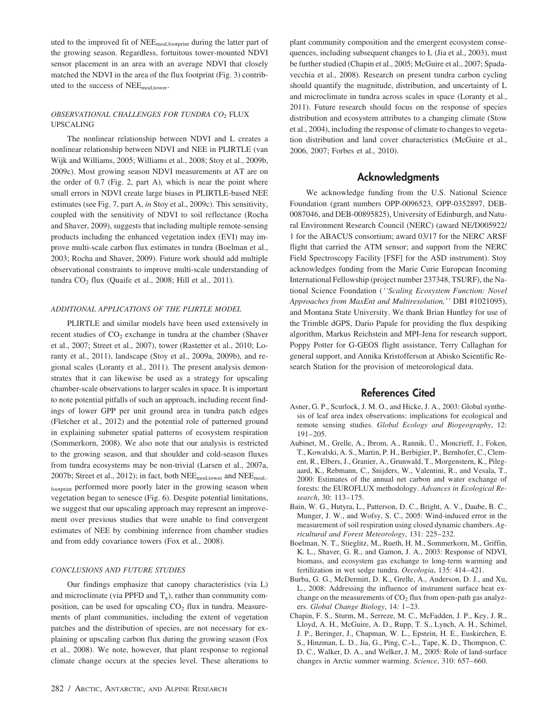uted to the improved fit of  $NEE_{mod,footprint}$  during the latter part of the growing season. Regardless, fortuitous tower-mounted NDVI sensor placement in an area with an average NDVI that closely matched the NDVI in the area of the flux footprint (Fig. 3) contributed to the success of NEEmod,tower.

#### *OBSERVATIONAL CHALLENGES FOR TUNDRA CO*<sup>2</sup> FLUX UPSCALING

The nonlinear relationship between NDVI and L creates a nonlinear relationship between NDVI and NEE in PLIRTLE (van Wijk and Williams, 2005; Williams et al., 2008; Stoy et al., 2009b, 2009c). Most growing season NDVI measurements at AT are on the order of 0.7 (Fig. 2, part A), which is near the point where small errors in NDVI create large biases in PLIRTLE-based NEE estimates (see Fig. 7, part A, *in* Stoy et al., 2009c). This sensitivity, coupled with the sensitivity of NDVI to soil reflectance (Rocha and Shaver, 2009), suggests that including multiple remote-sensing products including the enhanced vegetation index (EVI) may improve multi-scale carbon flux estimates in tundra (Boelman et al., 2003; Rocha and Shaver, 2009). Future work should add multiple observational constraints to improve multi-scale understanding of tundra  $CO<sub>2</sub>$  flux (Quaife et al., 2008; Hill et al., 2011).

#### *ADDITIONAL APPLICATIONS OF THE PLIRTLE MODEL*

PLIRTLE and similar models have been used extensively in recent studies of CO<sub>2</sub> exchange in tundra at the chamber (Shaver et al., 2007; Street et al., 2007), tower (Rastetter et al., 2010; Loranty et al., 2011), landscape (Stoy et al., 2009a, 2009b), and regional scales (Loranty et al., 2011). The present analysis demonstrates that it can likewise be used as a strategy for upscaling chamber-scale observations to larger scales in space. It is important to note potential pitfalls of such an approach, including recent findings of lower GPP per unit ground area in tundra patch edges (Fletcher et al., 2012) and the potential role of patterned ground in explaining submeter spatial patterns of ecosystem respiration (Sommerkorn, 2008). We also note that our analysis is restricted to the growing season, and that shoulder and cold-season fluxes from tundra ecosystems may be non-trivial (Larsen et al., 2007a, 2007b; Street et al., 2012); in fact, both NEEmod,tower and NEEmod, footprint performed more poorly later in the growing season when vegetation began to senesce (Fig. 6). Despite potential limitations, we suggest that our upscaling approach may represent an improvement over previous studies that were unable to find convergent estimates of NEE by combining inference from chamber studies and from eddy covariance towers (Fox et al., 2008).

#### *CONCLUSIONS AND FUTURE STUDIES*

Our findings emphasize that canopy characteristics (via L) and microclimate (via PPFD and  $T_a$ ), rather than community composition, can be used for upscaling  $CO<sub>2</sub>$  flux in tundra. Measurements of plant communities, including the extent of vegetation patches and the distribution of species, are not necessary for explaining or upscaling carbon flux during the growing season (Fox et al., 2008). We note, however, that plant response to regional climate change occurs at the species level. These alterations to

plant community composition and the emergent ecosystem consequences, including subsequent changes to L (Jia et al., 2003), must be further studied (Chapin et al., 2005; McGuire et al., 2007; Spadavecchia et al., 2008). Research on present tundra carbon cycling should quantify the magnitude, distribution, and uncertainty of L and microclimate in tundra across scales in space (Loranty et al., 2011). Future research should focus on the response of species distribution and ecosystem attributes to a changing climate (Stow et al., 2004), including the response of climate to changes to vegetation distribution and land cover characteristics (McGuire et al., 2006, 2007; Forbes et al., 2010).

## Acknowledgments

We acknowledge funding from the U.S. National Science Foundation (grant numbers OPP-0096523, OPP-0352897, DEB-0087046, and DEB-00895825), University of Edinburgh, and Natural Environment Research Council (NERC) (award NE/D005922/ 1 for the ABACUS consortium; award 03/17 for the NERC ARSF flight that carried the ATM sensor; and support from the NERC Field Spectroscopy Facility [FSF] for the ASD instrument). Stoy acknowledges funding from the Marie Curie European Incoming International Fellowship (project number 237348, TSURF), the National Science Foundation (*''Scaling Ecosystem Function: Novel Approaches from MaxEnt and Multiresolution,''* DBI #1021095), and Montana State University. We thank Brian Huntley for use of the Trimble dGPS, Dario Papale for providing the flux despiking algorithm, Markus Reichstein and MPI-Jena for research support, Poppy Potter for G-GEOS flight assistance, Terry Callaghan for general support, and Annika Kristofferson at Abisko Scientific Research Station for the provision of meteorological data.

# References Cited

- Asner, G. P., Scurlock, J. M. O., and Hicke, J. A., 2003: Global synthesis of leaf area index observations: implications for ecological and remote sensing studies. *Global Ecology and Biogeography*, 12: 191–205.
- Aubinet, M., Grelle, A., Ibrom, A., Rannik, Ü., Moncrieff, J., Foken, T., Kowalski, A. S., Martin, P. H., Berbigier, P., Bernhofer, C., Clement, R., Elbers, J., Granier, A., Grunwald, T., Morgenstern, K., Pilegaard, K., Rebmann, C., Snijders, W., Valentini, R., and Vesala, T., 2000: Estimates of the annual net carbon and water exchange of forests: the EUROFLUX methodology. *Advances in Ecological Research*, 30: 113–175.
- Bain, W. G., Hutyra, L., Patterson, D. C., Bright, A. V., Daube, B. C., Munger, J. W., and Wofsy, S. C., 2005: Wind-induced error in the measurement of soil respiration using closed dynamic chambers. *Agricultural and Forest Meteorology*, 131: 225–232.
- Boelman, N. T., Stieglitz, M., Rueth, H. M., Sommerkorn, M., Griffin, K. L., Shaver, G. R., and Gamon, J. A., 2003: Response of NDVI, biomass, and ecosystem gas exchange to long-term warming and fertilization in wet sedge tundra. *Oecologia*, 135: 414–421.
- Burba, G. G., McDermitt, D. K., Grelle, A., Anderson, D. J., and Xu, L., 2008: Addressing the influence of instrument surface heat exchange on the measurements of  $CO<sub>2</sub>$  flux from open-path gas analyzers. *Global Change Biology*, 14: 1–23.
- Chapin, F. S., Sturm, M., Serreze, M. C., McFadden, J. P., Key, J. R., Lloyd, A. H., McGuire, A. D., Rupp, T. S., Lynch, A. H., Schimel, J. P., Beringer, J., Chapman, W. L., Epstein, H. E., Euskirchen, E. S., Hinzman, L. D., Jia, G., Ping, C.-L., Tape, K. D., Thompson, C. D. C., Walker, D. A., and Welker, J. M., 2005: Role of land-surface changes in Arctic summer warming. *Science*, 310: 657–660.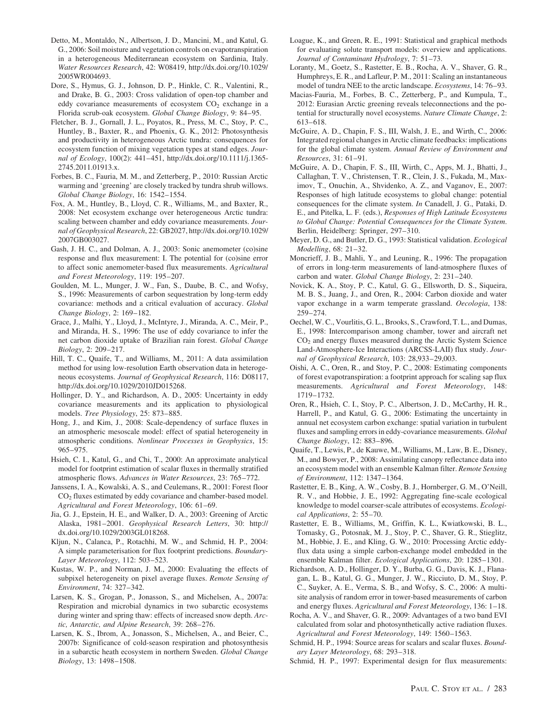- Detto, M., Montaldo, N., Albertson, J. D., Mancini, M., and Katul, G. G., 2006: Soil moisture and vegetation controls on evapotranspiration in a heterogeneous Mediterranean ecosystem on Sardinia, Italy. *Water Resources Research*, 42: W08419, http://dx.doi.org/10.1029/ 2005WR004693.
- Dore, S., Hymus, G. J., Johnson, D. P., Hinkle, C. R., Valentini, R., and Drake, B. G., 2003: Cross validation of open-top chamber and eddy covariance measurements of ecosystem  $CO<sub>2</sub>$  exchange in a Florida scrub-oak ecosystem. *Global Change Biology*, 9: 84–95.
- Fletcher, B. J., Gornall, J. L., Poyatos, R., Press, M. C., Stoy, P. C., Huntley, B., Baxter, R., and Phoenix, G. K., 2012: Photosynthesis and productivity in heterogeneous Arctic tundra: consequences for ecosystem function of mixing vegetation types at stand edges. *Journal of Ecology*, 100(2): 441–451, http://dx.doi.org/10.1111/j.1365- 2745.2011.01913.x.
- Forbes, B. C., Fauria, M. M., and Zetterberg, P., 2010: Russian Arctic warming and 'greening' are closely tracked by tundra shrub willows. *Global Change Biology*, 16: 1542–1554.
- Fox, A. M., Huntley, B., Lloyd, C. R., Williams, M., and Baxter, R., 2008: Net ecosystem exchange over heterogeneous Arctic tundra: scaling between chamber and eddy covariance measurements. *Journal of Geophysical Research*, 22: GB2027, http://dx.doi.org/10.1029/ 2007GB003027.
- Gash, J. H. C., and Dolman, A. J., 2003: Sonic anemometer (co)sine response and flux measurement: I. The potential for (co)sine error to affect sonic anemometer-based flux measurements. *Agricultural and Forest Meteorology*, 119: 195–207.
- Goulden, M. L., Munger, J. W., Fan, S., Daube, B. C., and Wofsy, S., 1996: Measurements of carbon sequestration by long-term eddy covariance: methods and a critical evaluation of accuracy. *Global Change Biology*, 2: 169–182.
- Grace, J., Malhi, Y., Lloyd, J., McIntyre, J., Miranda, A. C., Meir, P., and Miranda, H. S., 1996: The use of eddy covariance to infer the net carbon dioxide uptake of Brazilian rain forest. *Global Change Biology*, 2: 209–217.
- Hill, T. C., Quaife, T., and Williams, M., 2011: A data assimilation method for using low-resolution Earth observation data in heterogeneous ecosystems. *Journal of Geophysical Research*, 116: D08117, http://dx.doi.org/10.1029/2010JD015268.
- Hollinger, D. Y., and Richardson, A. D., 2005: Uncertainty in eddy covariance measurements and its application to physiological models. *Tree Physiology*, 25: 873–885.
- Hong, J., and Kim, J., 2008: Scale-dependency of surface fluxes in an atmospheric mesoscale model: effect of spatial heterogeneity in atmospheric conditions. *Nonlinear Processes in Geophysics*, 15: 965–975.
- Hsieh, C. I., Katul, G., and Chi, T., 2000: An approximate analytical model for footprint estimation of scalar fluxes in thermally stratified atmospheric flows. *Advances in Water Resources*, 23: 765–772.
- Janssens, I. A., Kowalski, A. S., and Ceulemans, R., 2001: Forest floor CO2 fluxes estimated by eddy covariance and chamber-based model. *Agricultural and Forest Meteorology*, 106: 61–69.
- Jia, G. J., Epstein, H. E., and Walker, D. A., 2003: Greening of Arctic Alaska, 1981–2001. *Geophysical Research Letters*, 30: http:// dx.doi.org/10.1029/2003GL018268.
- Kljun, N., Calanca, P., Rotachhi, M. W., and Schmid, H. P., 2004: A simple parameterisation for flux footprint predictions. *Boundary-Layer Meteorology*, 112: 503–523.
- Kustas, W. P., and Norman, J. M., 2000: Evaluating the effects of subpixel heterogeneity on pixel average fluxes. *Remote Sensing of Environment*, 74: 327–342.
- Larsen, K. S., Grogan, P., Jonasson, S., and Michelsen, A., 2007a: Respiration and microbial dynamics in two subarctic ecosystems during winter and spring thaw: effects of increased snow depth. *Arctic, Antarctic, and Alpine Research*, 39: 268–276.
- Larsen, K. S., Ibrom, A., Jonasson, S., Michelsen, A., and Beier, C., 2007b: Significance of cold-season respiration and photosynthesis in a subarctic heath ecosystem in northern Sweden. *Global Change Biology*, 13: 1498–1508.
- Loague, K., and Green, R. E., 1991: Statistical and graphical methods for evaluating solute transport models: overview and applications. *Journal of Contaminant Hydrology*, 7: 51–73.
- Loranty, M., Goetz, S., Rastetter, E. B., Rocha, A. V., Shaver, G. R., Humphreys, E. R., and Lafleur, P. M., 2011: Scaling an instantaneous model of tundra NEE to the arctic landscape. *Ecosystems*, 14: 76–93.
- Macias-Fauria, M., Forbes, B. C., Zetterberg, P., and Kumpula, T., 2012: Eurasian Arctic greening reveals teleconnections and the potential for structurally novel ecosystems. *Nature Climate Change*, 2: 613–618.
- McGuire, A. D., Chapin, F. S., III, Walsh, J. E., and Wirth, C., 2006: Integrated regional changes in Arctic climate feedbacks: implications for the global climate system. *Annual Review of Environment and Resources*, 31: 61–91.
- McGuire, A. D., Chapin, F. S., III, Wirth, C., Apps, M. J., Bhatti, J., Callaghan, T. V., Christensen, T. R., Clein, J. S., Fukada, M., Maximov, T., Onuchin, A., Shvidenko, A. Z., and Vaganov, E., 2007: Responses of high latitude ecosystems to global change: potential consequences for the climate system. *In* Canadell, J. G., Pataki, D. E., and Pitelka, L. F. (eds.), *Responses of High Latitude Ecosystems to Global Change: Potential Consequences for the Climate System*. Berlin, Heidelberg: Springer, 297–310.
- Meyer, D. G., and Butler, D. G., 1993: Statistical validation. *Ecological Modelling*, 68: 21–32.
- Moncrieff, J. B., Mahli, Y., and Leuning, R., 1996: The propagation of errors in long-term measurements of land-atmosphere fluxes of carbon and water. *Global Change Biology*, 2: 231–240.
- Novick, K. A., Stoy, P. C., Katul, G. G., Ellsworth, D. S., Siqueira, M. B. S., Juang, J., and Oren, R., 2004: Carbon dioxide and water vapor exchange in a warm temperate grassland. *Oecologia*, 138: 259–274.
- Oechel, W. C., Vourlitis, G. L., Brooks, S., Crawford, T. L., and Dumas, E., 1998: Intercomparison among chamber, tower and aircraft net  $CO<sub>2</sub>$  and energy fluxes measured during the Arctic System Science Land-Atmosphere-Ice Interactions (ARCSS-LAII) flux study. *Journal of Geophysical Research*, 103: 28,933–29,003.
- Oishi, A. C., Oren, R., and Stoy, P. C., 2008: Estimating components of forest evapotranspiration: a footprint approach for scaling sap flux measurements. *Agricultural and Forest Meteorology*, 148: 1719–1732.
- Oren, R., Hsieh, C. I., Stoy, P. C., Albertson, J. D., McCarthy, H. R., Harrell, P., and Katul, G. G., 2006: Estimating the uncertainty in annual net ecosystem carbon exchange: spatial variation in turbulent fluxes and sampling errors in eddy-covariance measurements. *Global Change Biology*, 12: 883–896.
- Quaife, T., Lewis, P., de Kauwe, M., Williams, M., Law, B. E., Disney, M., and Bowyer, P., 2008: Assimilating canopy reflectance data into an ecosystem model with an ensemble Kalman filter. *Remote Sensing of Environment*, 112: 1347–1364.
- Rastetter, E. B., King, A. W., Cosby, B. J., Hornberger, G. M., O'Neill, R. V., and Hobbie, J. E., 1992: Aggregating fine-scale ecological knowledge to model coarser-scale attributes of ecosystems. *Ecological Applications*, 2: 55–70.
- Rastetter, E. B., Williams, M., Griffin, K. L., Kwiatkowski, B. L., Tomasky, G., Potosnak, M. J., Stoy, P. C., Shaver, G. R., Stieglitz, M., Hobbie, J. E., and Kling, G. W., 2010: Processing Arctic eddyflux data using a simple carbon-exchange model embedded in the ensemble Kalman filter. *Ecological Applications*, 20: 1285–1301.
- Richardson, A. D., Hollinger, D. Y., Burba, G. G., Davis, K. J., Flanagan, L. B., Katul, G. G., Munger, J. W., Ricciuto, D. M., Stoy, P. C., Suyker, A. E., Verma, S. B., and Wofsy, S. C., 2006: A multisite analysis of random error in tower-based measurements of carbon and energy fluxes. *Agricultural and Forest Meteorology*, 136: 1–18.
- Rocha, A. V., and Shaver, G. R., 2009: Advantages of a two band EVI calculated from solar and photosynthetically active radiation fluxes. *Agricultural and Forest Meteorology*, 149: 1560–1563.
- Schmid, H. P., 1994: Source areas for scalars and scalar fluxes. *Boundary Layer Meteorology*, 68: 293–318.
- Schmid, H. P., 1997: Experimental design for flux measurements: